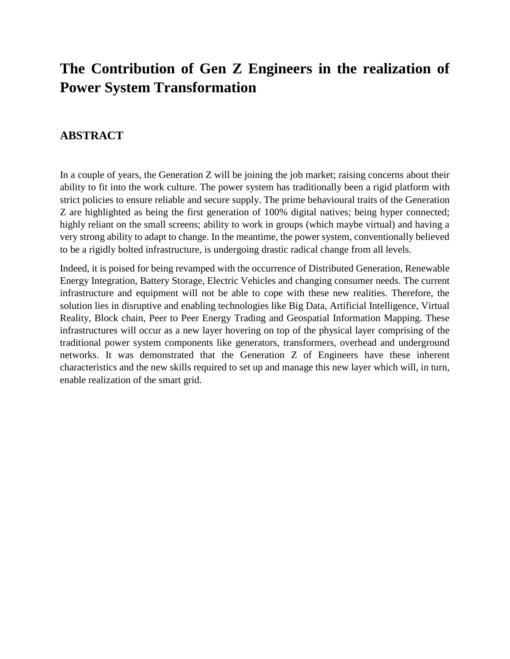## **The Contribution of Gen Z Engineers in the realization of Power System Transformation**

### **ABSTRACT**

In a couple of years, the Generation Z will be joining the job market; raising concerns about their ability to fit into the work culture. The power system has traditionally been a rigid platform with strict policies to ensure reliable and secure supply. The prime behavioural traits of the Generation Z are highlighted as being the first generation of 100% digital natives; being hyper connected; highly reliant on the small screens; ability to work in groups (which maybe virtual) and having a very strong ability to adapt to change. In the meantime, the power system, conventionally believed to be a rigidly bolted infrastructure, is undergoing drastic radical change from all levels.

Indeed, it is poised for being revamped with the occurrence of Distributed Generation, Renewable Energy Integration, Battery Storage, Electric Vehicles and changing consumer needs. The current infrastructure and equipment will not be able to cope with these new realities. Therefore, the solution lies in disruptive and enabling technologies like Big Data, Artificial Intelligence, Virtual Reality, Block chain, Peer to Peer Energy Trading and Geospatial Information Mapping. These infrastructures will occur as a new layer hovering on top of the physical layer comprising of the traditional power system components like generators, transformers, overhead and underground networks. It was demonstrated that the Generation Z of Engineers have these inherent characteristics and the new skills required to set up and manage this new layer which will, in turn, enable realization of the smart grid.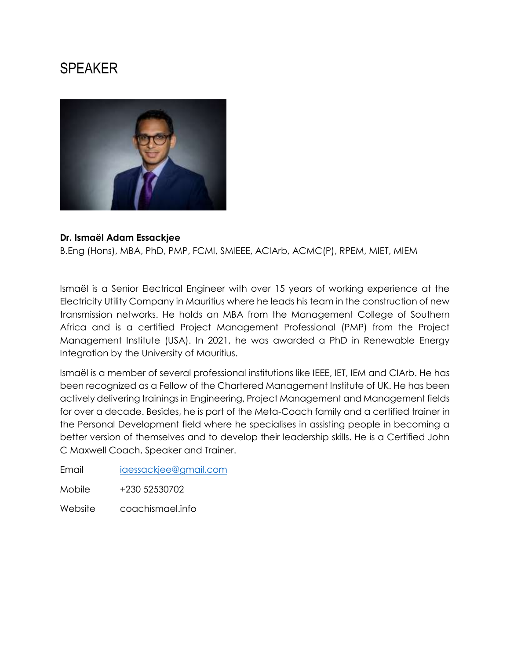# SPEAKER



#### **Dr. Ismaël Adam Essackjee**

B.Eng (Hons), MBA, PhD, PMP, FCMI, SMIEEE, ACIArb, ACMC(P), RPEM, MIET, MIEM

Ismaël is a Senior Electrical Engineer with over 15 years of working experience at the Electricity Utility Company in Mauritius where he leads his team in the construction of new transmission networks. He holds an MBA from the Management College of Southern Africa and is a certified Project Management Professional (PMP) from the Project Management Institute (USA). In 2021, he was awarded a PhD in Renewable Energy Integration by the University of Mauritius.

Ismaël is a member of several professional institutions like IEEE, IET, IEM and CIArb. He has been recognized as a Fellow of the Chartered Management Institute of UK. He has been actively delivering trainings in Engineering, Project Management and Management fields for over a decade. Besides, he is part of the Meta-Coach family and a certified trainer in the Personal Development field where he specialises in assisting people in becoming a better version of themselves and to develop their leadership skills. He is a Certified John C Maxwell Coach, Speaker and Trainer.

Email [iaessackjee@gmail.com](mailto:iaessackjee@gmail.com)

Mobile +230 52530702

Website coachismael.info